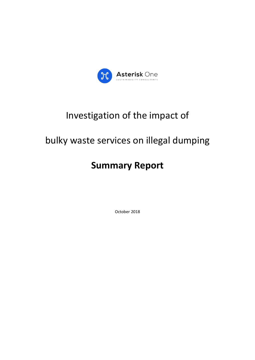

# Investigation of the impact of

# bulky waste services on illegal dumping

# **Summary Report**

October 2018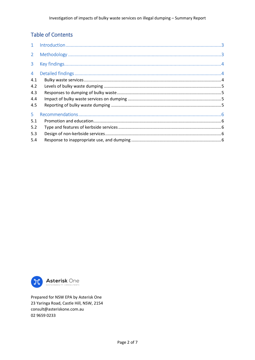## **Table of Contents**

| 2 <sup>7</sup> |  |
|----------------|--|
| 3 <sup>1</sup> |  |
| 4 <sup>1</sup> |  |
| 4.1            |  |
| 4.2            |  |
| 4.3            |  |
| 4.4            |  |
| 4.5            |  |
| 5.             |  |
| 5.1            |  |
| 5.2            |  |
| 5.3            |  |
| 5.4            |  |



Prepared for NSW EPA by Asterisk One 23 Yaringa Road, Castle Hill, NSW, 2154 consult@asteriskone.com.au 02 9659 0233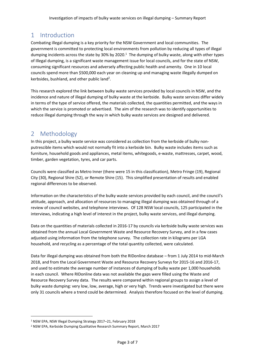# <span id="page-2-0"></span>1 Introduction

Combating illegal dumping is a key priority for the NSW Government and local communities. The government is committed to protecting local environments from pollution by reducing all types of illegal dumping incidents across the state by 30% by 2020.<sup>1</sup> The dumping of bulky waste, along with other types of Illegal dumping, is a significant waste management issue for local councils, and for the state of NSW, consuming significant resources and adversely affecting public health and amenity. One in 10 local councils spend more than \$500,000 each year on cleaning up and managing waste illegally dumped on kerbsides, bushland, and other public land<sup>2</sup>.

This research explored the link between bulky waste services provided by local councils in NSW, and the incidence and nature of illegal dumping of bulky waste at the kerbside. Bulky waste services differ widely in terms of the type of service offered, the materials collected, the quantities permitted, and the ways in which the service is promoted or advertised. The aim of the research was to identify opportunities to reduce illegal dumping through the way in which bulky waste services are designed and delivered.

# <span id="page-2-1"></span>2 Methodology

In this project, a bulky waste service was considered as collection from the kerbside of bulky nonputrescible items which would not normally fit into a kerbside bin. Bulky waste includes items such as furniture, household goods and appliances, metal items, whitegoods, e-waste, mattresses, carpet, wood, timber, garden vegetation, tyres, and car parts.

Councils were classified as Metro Inner (there were 15 in this classification), Metro Fringe (19), Regional City (30), Regional Shire (52), or Remote Shire (15). This simplified presentation of results and enabled regional differences to be observed.

Information on the characteristics of the bulky waste services provided by each council, and the council's attitude, approach, and allocation of resources to managing illegal dumping was obtained through of a review of council websites, and telephone interviews. Of 128 NSW local councils, 125 participated in the interviews, indicating a high level of interest in the project, bulky waste services, and illegal dumping.

Data on the quantities of materials collected in 2016-17 by councils via kerbside bulky waste services was obtained from the annual Local Government Waste and Resource Recovery Survey, and in a few cases adjusted using information from the telephone survey. The collection rate in kilograms per LGA household, and recycling as a percentage of the total quantity collected, were calculated.

Data for illegal dumping was obtained from both the RIDonline database – from 1 July 2014 to mid-March 2018, and from the Local Government Waste and Resource Recovery Surveys for 2015-16 and 2016-17, and used to estimate the average number of instances of dumping of bulky waste per 1,000 households in each council. Where RIDonline data was not available the gaps were filled using the Waste and Resource Recovery Survey data. The results were compared within regional groups to assign a level of bulky waste dumping: very low, low, average, high or very high. Trends were investigated but there were only 31 councils where a trend could be determined. Analysis therefore focused on the level of dumping.

 $\overline{\phantom{a}}$ 

<sup>1</sup> NSW EPA, NSW Illegal Dumping Strategy 2017–21, February 2018

<sup>2</sup> NSW EPA, Kerbside Dumping Qualitative Research Summary Report, March 2017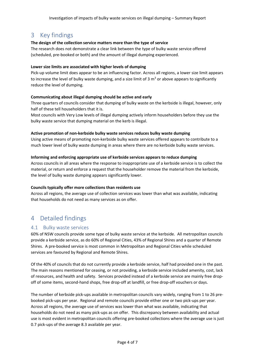## <span id="page-3-0"></span>3 Key findings

#### **The design of the collection service matters more than the type of service**

The research does not demonstrate a clear link between the type of bulky waste service offered (scheduled, pre-booked or both) and the amount of illegal dumping experienced.

#### **Lower size limits are associated with higher levels of dumping**

Pick-up volume limit does appear to be an influencing factor. Across all regions, a lower size limit appears to increase the level of bulky waste dumping, and a size limit of 3  $\text{m}^3$  or above appears to significantly reduce the level of dumping.

#### **Communicating about illegal dumping should be active and early**

Three quarters of councils consider that dumping of bulky waste on the kerbside is illegal, however, only half of these tell householders that it is.

Most councils with Very Low levels of illegal dumping actively inform householders before they use the bulky waste service that dumping material on the kerb is illegal.

#### **Active promotion of non-kerbside bulky waste services reduces bulky waste dumping**

Using active means of promoting non-kerbside bulky waste services offered appears to contribute to a much lower level of bulky waste dumping in areas where there are no kerbside bulky waste services.

#### **Informing and enforcing appropriate use of kerbside services appears to reduce dumping**

Across councils in all areas where the response to inappropriate use of a kerbside service is to collect the material, or return and enforce a request that the householder remove the material from the kerbside, the level of bulky waste dumping appears significantly lower.

#### **Councils typically offer more collections than residents use**

Across all regions, the average use of collection services was lower than what was available, indicating that households do not need as many services as on offer.

# <span id="page-3-1"></span>4 Detailed findings

## <span id="page-3-2"></span>4.1 Bulky waste services

60% of NSW councils provide some type of bulky waste service at the kerbside. All metropolitan councils provide a kerbside service, as do 60% of Regional Cities, 43% of Regional Shires and a quarter of Remote Shires. A pre-booked service is most common in Metropolitan and Regional Cities while scheduled services are favoured by Regional and Remote Shires.

Of the 40% of councils that do not currently provide a kerbside service, half had provided one in the past. The main reasons mentioned for ceasing, or not providing, a kerbside service included amenity, cost, lack of resources, and health and safety. Services provided instead of a kerbside service are mainly free dropoff of some items, second-hand shops, free drop-off at landfill, or free drop-off vouchers or days.

The number of kerbside pick-ups available in metropolitan councils vary widely, ranging from 1 to 26 prebooked pick-ups per year. Regional and remote councils provide either one or two pick-ups per year. Across all regions, the average use of services was lower than what was available, indicating that households do not need as many pick-ups as on offer. This discrepancy between availability and actual use is most evident in metropolitan councils offering pre-booked collections where the average use is just 0.7 pick-ups of the average 8.3 available per year.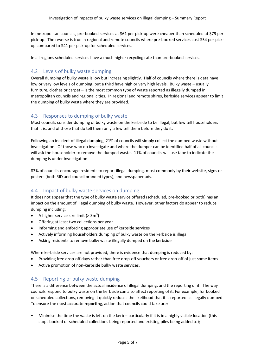In metropolitan councils, pre-booked services at \$61 per pick-up were cheaper than scheduled at \$79 per pick-up. The reverse is true in regional and remote councils where pre-booked services cost \$54 per pickup compared to \$41 per pick-up for scheduled services.

In all regions scheduled services have a much higher recycling rate than pre-booked services.

## <span id="page-4-0"></span>4.2 Levels of bulky waste dumping

Overall dumping of bulky waste is low but increasing slightly. Half of councils where there is data have low or very low levels of dumping, but a third have high or very high levels. Bulky waste – usually furniture, clothes or carpet – is the most common type of waste reported as illegally dumped in metropolitan councils and regional cities. In regional and remote shires, kerbside services appear to limit the dumping of bulky waste where they are provided.

## <span id="page-4-1"></span>4.3 Responses to dumping of bulky waste

Most councils consider dumping of bulky waste on the kerbside to be illegal, but few tell householders that it is, and of those that do tell them only a few tell them before they do it.

Following an incident of illegal dumping, 21% of councils will simply collect the dumped waste without investigation. Of those who do investigate and where the dumper can be identified half of all councils will ask the householder to remove the dumped waste. 11% of councils will use tape to indicate the dumping is under investigation.

83% of councils encourage residents to report illegal dumping, most commonly by their website, signs or posters (both RID and council branded types), and newspaper ads.

## <span id="page-4-2"></span>4.4 Impact of bulky waste services on dumping

It does not appear that the type of bulky waste service offered (scheduled, pre-booked or both) has an impact on the amount of illegal dumping of bulky waste. However, other factors do appear to reduce dumping including:

- A higher service size limit  $(> 3m<sup>3</sup>)$
- Offering at least two collections per year
- Informing and enforcing appropriate use of kerbside services
- Actively informing householders dumping of bulky waste on the kerbside is illegal
- Asking residents to remove bulky waste illegally dumped on the kerbside

Where kerbside services are not provided, there is evidence that dumping is reduced by:

- Providing free drop-off days rather than free drop-off vouchers or free drop-off of just some items
- Active promotion of non-kerbside bulky waste services.

## <span id="page-4-3"></span>4.5 Reporting of bulky waste dumping

There is a difference between the actual incidence of illegal dumping, and the reporting of it. The way councils respond to bulky waste on the kerbside can also affect reporting of it. For example, for booked or scheduled collections, removing it quickly reduces the likelihood that it is reported as illegally dumped. To ensure the most **accurate reporting**, action that councils could take are:

• Minimise the time the waste is left on the kerb – particularly if it is in a highly visible location (this stops booked or scheduled collections being reported and existing piles being added to);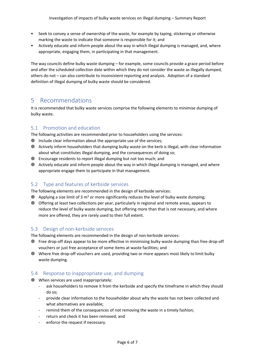- Seek to convey a sense of ownership of the waste, for example by taping, stickering or otherwise marking the waste to indicate that someone is responsible for it; and
- Actively educate and inform people about the way in which illegal dumping is managed, and, where appropriate, engaging them, in participating in that management.

The way councils define bulky waste dumping – for example, some councils provide a grace period before and after the scheduled collection date within which they do not consider the waste as illegally dumped, others do not – can also contribute to inconsistent reporting and analysis. Adoption of a standard definition of illegal dumping of bulky waste should be considered.

# <span id="page-5-0"></span>5 Recommendations

It is recommended that bulky waste services comprise the following elements to minimise dumping of bulky waste.

## <span id="page-5-1"></span>5.1 Promotion and education

The following activities are recommended prior to householders using the services:

- Include clear information about the appropriate use of the services;
- Actively inform householders that dumping bulky waste on the kerb is illegal, with clear information about what constitutes illegal dumping, and the consequences of doing so;
- Encourage residents to report illegal dumping but not too much; and
- Actively educate and inform people about the way in which illegal dumping is managed, and where appropriate engage them to participate in that management.

## <span id="page-5-2"></span>5.2 Type and features of kerbside services

The following elements are recommended in the design of kerbside services:

- $\circledast$  Applying a size limit of 3 m<sup>3</sup> or more significantly reduces the level of bulky waste dumping;
- Offering at least two collections per year, particularly in regional and remote areas, appears to reduce the level of bulky waste dumping, but offering more than that is not necessary, and where more are offered, they are rarely used to their full extent.

## <span id="page-5-3"></span>5.3 Design of non-kerbside services

The following elements are recommended in the design of non-kerbside services:

- Free drop-off days appear to be more effective in minimising bulky waste dumping than free drop-off vouchers or just free acceptance of some items at waste facilities; and
- Where free drop-off vouchers are used, providing two or more appears most likely to limit bulky waste dumping.

## <span id="page-5-4"></span>5.4 Response to inappropriate use, and dumping

- When services are used inappropriately:
	- ask householders to remove it from the kerbside and specify the timeframe in which they should do so;
	- provide clear information to the householder about why the waste has not been collected and what alternatives are available;
	- remind them of the consequences of not removing the waste in a timely fashion;
	- return and check it has been removed; and
	- enforce the request if necessary.